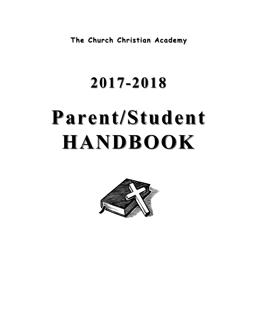**The Church Christian Academy The Church Christian Academy**

# **2017-2018 Parent/Student Parent/Student HANDBOOK HANDBOOK**

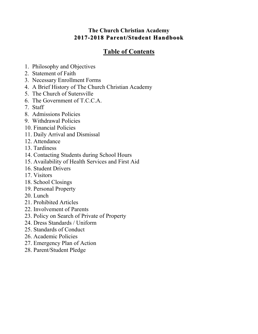# **The Church Christian Academy 2017-2018 Parent/Student Handbook Handbook**

# **Table of Contents**

- 1. Philosophy and Objectives
- 2. Statement of Faith
- 3. Necessary Enrollment Forms
- 4. A Brief History of The Church Christian Academy
- 5. The Church of Sutersville
- 6. The Government of T.C.C.A.
- 7. Staff
- 8. Admissions Policies
- 9. Withdrawal Policies
- 10. Financial Policies
- 11. Daily Arrival and Dismissal
- 12. Attendance
- 13. Tardiness
- 14. Contacting Students during School Hours
- 15. Availability of Health Services and First Aid
- 16. Student Drivers
- 17. Visitors
- 18. School Closings
- 19. Personal Property
- 20. Lunch
- 21. Prohibited Articles
- 22. Involvement of Parents
- 23. Policy on Search of Private of Property
- 24. Dress Standards / Uniform
- 25. Standards of Conduct
- 26. Academic Policies
- 27. Emergency Plan of Action
- 28. Parent/Student Pledge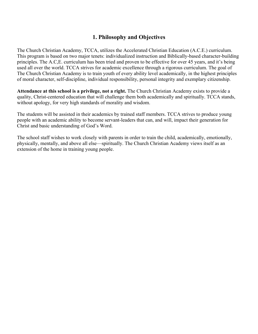# **1. Philosophy and Objectives**

The Church Christian Academy, TCCA, utilizes the Accelerated Christian Education (A.C.E.) curriculum. This program is based on two major tenets: individualized instruction and Biblically-based character-building principles. The A.C,E. curriculum has been tried and proven to be effective for over 45 years, and it's being used all over the world. TCCA strives for academic excellence through a rigorous curriculum. The goal of The Church Christian Academy is to train youth of every ability level academically, in the highest principles of moral character, self-discipline, individual responsibility, personal integrity and exemplary citizenship.

**Attendance at this school is a privilege, not a right.** The Church Christian Academy exists to provide a quality, Christ-centered education that will challenge them both academically and spiritually. TCCA stands, without apology, for very high standards of morality and wisdom.

The students will be assisted in their academics by trained staff members. TCCA strives to produce young people with an academic ability to become servant-leaders that can, and will, impact their generation for Christ and basic understanding of God's Word.

The school staff wishes to work closely with parents in order to train the child, academically, emotionally, physically, mentally, and above all else—spiritually. The Church Christian Academy views itself as an extension of the home in training young people.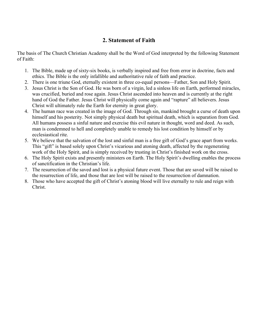# **2. Statement of Faith**

The basis of The Church Christian Academy shall be the Word of God interpreted by the following Statement of Faith:

- 1. The Bible, made up of sixty-six books, is verbally inspired and free from error in doctrine, facts and ethics. The Bible is the only infallible and authoritative rule of faith and practice.
- 2. There is one triune God, eternally existent in three co-equal persons—Father, Son and Holy Spirit.
- 3. Jesus Christ is the Son of God. He was born of a virgin, led a sinless life on Earth, performed miracles, was crucified, buried and rose again. Jesus Christ ascended into heaven and is currently at the right hand of God the Father. Jesus Christ will physically come again and "rapture" all believers. Jesus Christ will ultimately rule the Earth for eternity in great glory.
- 4. The human race was created in the image of God. Through sin, mankind brought a curse of death upon himself and his posterity. Not simply physical death but spiritual death, which is separation from God. All humans possess a sinful nature and exercise this evil nature in thought, word and deed. As such, man is condemned to hell and completely unable to remedy his lost condition by himself or by ecclesiastical rite.
- 5. We believe that the salvation of the lost and sinful man is a free gift of God's grace apart from works. This "gift" is based solely upon Christ's vicarious and atoning death, affected by the regenerating work of the Holy Spirit, and is simply received by trusting in Christ's finished work on the cross.
- 6. The Holy Spirit exists and presently ministers on Earth. The Holy Spirit's dwelling enables the process of sanctification in the Christian's life.
- 7. The resurrection of the saved and lost is a physical future event. Those that are saved will be raised to the resurrection of life, and those that are lost will be raised to the resurrection of damnation.
- 8. Those who have accepted the gift of Christ's atoning blood will live eternally to rule and reign with Christ.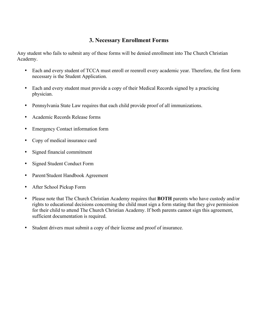# **3. Necessary Enrollment Forms**

Any student who fails to submit any of these forms will be denied enrollment into The Church Christian Academy.

- Each and every student of TCCA must enroll or reenroll every academic year. Therefore, the first form necessary is the Student Application.
- Each and every student must provide a copy of their Medical Records signed by a practicing physician.
- Pennsylvania State Law requires that each child provide proof of all immunizations.
- Academic Records Release forms
- Emergency Contact information form
- Copy of medical insurance card
- Signed financial commitment
- Signed Student Conduct Form
- Parent/Student Handbook Agreement
- After School Pickup Form
- Please note that The Church Christian Academy requires that **BOTH** parents who have custody and/or rights to educational decisions concerning the child must sign a form stating that they give permission for their child to attend The Church Christian Academy. If both parents cannot sign this agreement, sufficient documentation is required.
- Student drivers must submit a copy of their license and proof of insurance.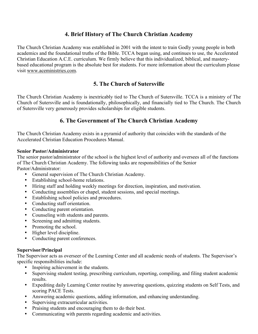# **4. Brief History of The Church Christian Academy**

The Church Christian Academy was established in 2001 with the intent to train Godly young people in both academics and the foundational truths of the Bible. TCCA began using, and continues to use, the Accelerated Christian Education A.C.E. curriculum. We firmly believe that this individualized, biblical, and masterybased educational program is the absolute best for students. For more information about the curriculum please visit www.aceministries.com.

# **5. The Church of Sutersville**

The Church Christian Academy is inextricably tied to The Church of Sutersville. TCCA is a ministry of The Church of Sutersville and is foundationally, philosophically, and financially tied to The Church. The Church of Sutersville very generously provides scholarships for eligible students.

# **6. The Government of The Church Christian Academy**

The Church Christian Academy exists in a pyramid of authority that coincides with the standards of the Accelerated Christian Education Procedures Manual.

#### **Senior Pastor/Administrator**

The senior pastor/administrator of the school is the highest level of authority and oversees all of the functions of The Church Christian Academy. The following tasks are responsibilities of the Senior Pastor/Administrator:

- General supervision of The Church Christian Academy.
- Establishing school-home relations.
- Hiring staff and holding weekly meetings for direction, inspiration, and motivation.
- Conducting assemblies or chapel, student sessions, and special meetings.
- Establishing school policies and procedures.
- Conducting staff orientation.
- Conducting parent orientation.
- Counseling with students and parents.
- Screening and admitting students.
- Promoting the school.
- Higher level discipline.
- Conducting parent conferences.

# **Supervisor/Principal**

The Supervisor acts as overseer of the Learning Center and all academic needs of students. The Supervisor's specific responsibilities include:

- Inspiring achievement in the students.
- Supervising student testing, prescribing curriculum, reporting, compiling, and filing student academic results.
- Expediting daily Learning Center routine by answering questions, quizzing students on Self Tests, and scoring PACE Tests.
- Answering academic questions, adding information, and enhancing understanding.
- Supervising extracurricular activities.
- Praising students and encouraging them to do their best.
- Communicating with parents regarding academic and activities.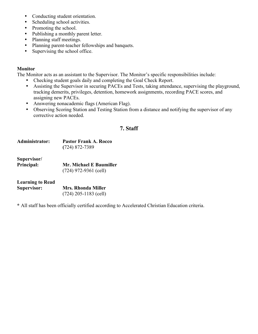- Conducting student orientation.
- Scheduling school activities.
- Promoting the school.
- Publishing a monthly parent letter.
- Planning staff meetings.
- Planning parent-teacher fellowships and banquets.<br>• Supervising the school office
- Supervising the school office.

# **Monitor**

The Monitor acts as an assistant to the Supervisor. The Monitor's specific responsibilities include:

- Checking student goals daily and completing the Goal Check Report.<br>• Assisting the Supervisor in securing PACEs and Tests, taking attendant
- Assisting the Supervisor in securing PACEs and Tests, taking attendance, supervising the playground, tracking demerits, privileges, detention, homework assignments, recording PACE scores, and assigning new PACEs.
- Answering nonacademic flags (American Flag).<br>• Observing Scoring Station and Testing Station fr
- Observing Scoring Station and Testing Station from a distance and notifying the supervisor of any corrective action needed.

# **7. Staff**

| Administrator:                                | <b>Pastor Frank A. Rocco</b><br>$(724) 872 - 7389$ |
|-----------------------------------------------|----------------------------------------------------|
| Supervisor/<br>Principal:                     | Mr. Michael E Baumiller<br>$(724)$ 972-9361 (cell) |
| <b>Learning to Read</b><br><b>Supervisor:</b> | <b>Mrs. Rhonda Miller</b>                          |

**\*** All staff has been officially certified according to Accelerated Christian Education criteria.

(724) 205-1183 (cell)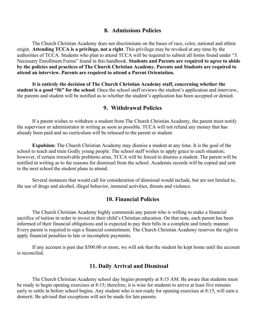#### **8. Admissions Policies**

The Church Christian Academy does not discriminate on the bases of race, color, national and ethnic origin. **Attending TCCA is a privilege, not a right**. This privilege may be revoked at any time by the authorities of TCCA. Students who plan to attend TCCA will be required to submit all forms found under "3. Necessary Enrollment Forms" found in this handbook. **Students and Parents are required to agree to abide by the policies and practices of The Church Christian Academy. Parents and Students are required to attend an interview. Parents are required to attend a Parent Orientation.** 

**It is entirely the decision of The Church Christian Academy staff, concerning whether the student is a good "fit" for the school**. Once the school staff reviews the student's application and interview, the parents and student will be notified as to whether the student's application has been accepted or denied.

## **9. Withdrawal Policies**

If a parent wishes to withdraw a student from The Church Christian Academy, the parent must notify the supervisor or administrator in writing as soon as possible. TCCA will not refund any money that has already been paid and no curriculum will be released to the parent or student.

**Expulsion:** The Church Christian Academy may dismiss a student at any time. It is the goal of the school to teach and train Godly young people. The school staff wishes to apply grace to each situation; however, if certain irresolvable problems arise, TCCA will be forced to dismiss a student. The parent will be notified in writing as to the reasons for dismissal from the school. Academic records will be copied and sent to the next school the student plans to attend.

Several instances that would call for consideration of dismissal would include, but are not limited to, the use of drugs and alcohol, illegal behavior, immoral activities, threats and violence.

#### **10. Financial Policies**

The Church Christian Academy highly commends any parent who is willing to make a financial sacrifice of tuition in order to invest in their child's Christian education. On that note, each parent has been informed of their financial obligations and is expected to pay their bills in a complete and timely manner. Every parent is required to sign a financial commitment. The Church Christian Academy reserves the right to apply financial penalties to late or incomplete payments.

If any account is past due \$500.00 or more, we will ask that the student be kept home until the account is reconciled.

## **11. Daily Arrival and Dismissal**

The Church Christian Academy school day begins promptly at 8:15 AM. Be aware that students must be ready to begin opening exercises at 8:15; therefore, it is wise for students to arrive at least five minutes early to settle in before school begins. Any student who is not ready for opening exercises at 8:15, will earn a demerit. Be advised that exceptions will not be made for late parents.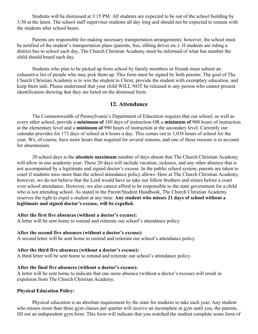Students will be dismissed at 3:15 PM. All students are expected to be out of the school building by 3:30 at the latest. The school staff supervises students all day long and should not be expected to remain with the students after school hours.

Parents are responsible for making necessary transportation arrangements; however, the school must be notified of the student's transportation plans (parents, bus, sibling driver etc.). If students are riding a district bus to school each day, The Church Christian Academy must be informed of what bus number the child should board each day.

Students who plan to be picked up from school by family members or friends must submit an exhaustive list of people who may pick them up. This form must be signed by both parents. The goal of The Church Christian Academy is to win the student to Christ, provide the student with exemplary education, and keep them safe. Please understand that your child WILL NOT be released to any person who cannot present identification showing that they are listed on the dismissal form.

# **12. Attendance**

The Commonwealth of Pennsylvania's Department of Education requires that our school, as well as every other school, provide a **minimum of** 180 days of instruction OR a **minimum of** 900 hours of instruction at the elementary level and a **minimum of** 990 hours of instruction at the secondary level. Currently our calendar provides for 173 days of school at 6 hours a day. This comes out to 1,038 hours of school for the year. We, of course, have more hours than required for several reasons, and one of those reasons is to account for absenteeism.

20 school days is the **absolute maximum** number of days absent that The Church Christian Academy will allow in one academic year. These 20 days will include vacation, sickness, and any other absence that is not accompanied by a legitimate and signed doctor's excuse. In the public school system, parents are taken to court if students miss more than the school attendance policy allows. Here at The Church Christian Academy, however, we do not believe that the Lord would have us take our fellow brothers and sisters before a court over school attendance. However, we also cannot afford to be responsible to the state government for a child who is not attending school. As stated in the Parent/Student Handbook, The Church Christian Academy reserves the right to expel a student at any time. **Any student who misses 21 days of school without a legitimate and signed doctor's excuse, will be expelled.** 

#### **After the first five absences (without a doctor's excuse):**

A letter will be sent home to remind and reiterate our school's attendance policy.

#### **After the second five absences (without a doctor's excuse):**

A second letter will be sent home to remind and reiterate our school's attendance policy.

#### **After the third five absences (without a doctor's excuse):**

A third letter will be sent home to remind and reiterate our school's attendance policy.

#### **After the final five absences (without a doctor's excuse):**

A letter will be sent home to indicate that one more absence (without a doctor's excuse) will result in expulsion from The Church Christian Academy.

#### **Physical Education Policy:**

Physical education is an absolute requirement by the state for students to take each year. Any student who misses more than three gym classes per quarter will receive an incomplete in gym until you, the parents, fill out an independent gym form. This form will indicate that you watched the student complete some form of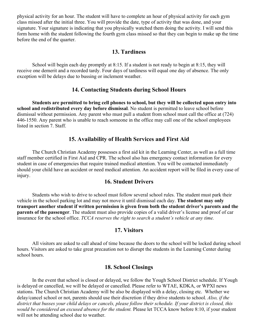physical activity for an hour. The student will have to complete an hour of physical activity for each gym class missed after the initial three. You will provide the date, type of activity that was done, and your signature. Your signature is indicating that you physically watched them doing the activity. I will send this form home with the student following the fourth gym class missed so that they can begin to make up the time before the end of the quarter.

## **13. Tardiness**

School will begin each day promptly at 8:15. If a student is not ready to begin at 8:15, they will receive one demerit and a recorded tardy. Four days of tardiness will equal one day of absence. The only exception will be delays due to bussing or inclement weather.

#### **14. Contacting Students during School Hours**

**Students are permitted to bring cell phones to school, but they will be collected upon entry into school and redistributed every day before dismissal**. No student is permitted to leave school before dismissal without permission. Any parent who must pull a student from school must call the office at (724) 446-1550. Any parent who is unable to reach someone in the office may call one of the school employees listed in section 7. Staff.

# **15. Availability of Health Services and First Aid**

The Church Christian Academy possesses a first aid kit in the Learning Center, as well as a full time staff member certified in First Aid and CPR. The school also has emergency contact information for every student in case of emergencies that require trained medical attention. You will be contacted immediately should your child have an accident or need medical attention. An accident report will be filed in every case of injury.

## **16. Student Drivers**

Students who wish to drive to school must follow several school rules. The student must park their vehicle in the school parking lot and may not move it until dismissal each day. **The student may only transport another student if written permission is given from both the student driver's parents and the parents of the passenger**. The student must also provide copies of a valid driver's license and proof of car insurance for the school office. *TCCA reserves the right to search a student's vehicle at any time.*

## **17. Visitors**

All visitors are asked to call ahead of time because the doors to the school will be locked during school hours. Visitors are asked to take great precaution not to disrupt the students in the Learning Center during school hours.

# **18. School Closings**

In the event that school is closed or delayed, we follow the Yough School District schedule. If Yough is delayed or cancelled, we will be delayed or cancelled. Please refer to WTAE, KDKA, or WPXI news stations. The Church Christian Academy will be also be displayed with a delay, closing etc. Whether we delay/cancel school or not, parents should use their discretion if they drive students to school. *Also, if the district that busses your child delays or cancels, please follow their schedule. If your district is closed, this would be considered an excused absence for the student.* Please let TCCA know before 8:10, if your student will not be attending school due to weather.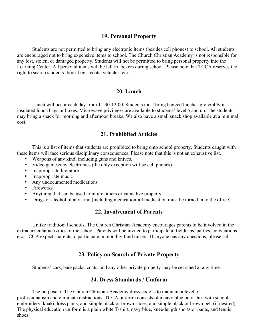# **19. Personal Property**

Students are not permitted to bring any electronic items (besides cell phones) to school. All students are encouraged not to bring expensive items to school. The Church Christian Academy is not responsible for any lost, stolen, or damaged property. Students will not be permitted to bring personal property into the Learning Center. All personal items will be left in lockers during school. Please note that TCCA reserves the right to search students' book bags, coats, vehicles, etc.

## **20. Lunch**

Lunch will occur each day from 11:30-12:00. Students must bring bagged lunches preferably in insulated lunch bags or boxes. Microwave privileges are available to students' level 5 and up. The students may bring a snack for morning and afternoon breaks. We also have a small snack shop available at a minimal cost.

# **21. Prohibited Articles**

This is a list of items that students are prohibited to bring onto school property. Students caught with these items will face serious disciplinary consequences. Please note that this is not an exhaustive list.

- Weapons of any kind; including guns and knives.
- Video games/any electronics (the only exception will be cell phones)
- Inappropriate literature
- Inappropriate music
- Any undocumented medications
- Fireworks
- Anything that can be used to injure others or vandalize property.
- Drugs or alcohol of any kind (including medication-all medication must be turned in to the office)

# **22. Involvement of Parents**

Unlike traditional schools, The Church Christian Academy encourages parents to be involved in the extracurricular activities of the school. Parents will be invited to participate in fieldtrips, parties, conventions, etc. TCCA expects parents to participate in monthly fund raisers. If anyone has any questions, please call.

# **23. Policy on Search of Private Property**

Students' cars, backpacks, coats, and any other private property may be searched at any time.

# **24. Dress Standards / Uniform**

The purpose of The Church Christian Academy dress code is to maintain a level of professionalism and eliminate distractions. TCCA uniform consists of a navy blue polo shirt with school embroidery, khaki dress pants, and simple black or brown shoes, and simple black or brown belt (if desired). The physical education uniform is a plain white T-shirt, navy blue, knee-length shorts or pants, and tennis shoes.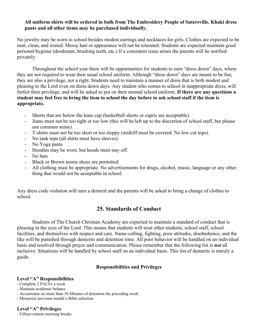#### **All uniform shirts will be ordered in bulk from The Embroidery People of Sutersville. Khaki dress pants and all other items may be purchased individually.**

No jewelry may be worn to school besides modest earrings and necklaces for girls. Clothes are expected to be neat, clean, and ironed. Messy hair or appearance will not be tolerated. Students are expected maintain good personal hygiene (deodorant, brushing teeth, etc.) If a consistent issue arises the parents will be notified privately.

Throughout the school year there will be opportunities for students to earn "dress down" days, where they are not required to wear their usual school uniform. Although "dress down" days are meant to be fun, they are also a privilege, not a right. Students need to maintain a manner of dress that is both modest and pleasing to the Lord even on dress down days. Any student who comes to school in inappropriate dress, will forfeit their privilege, and will be asked to put on their normal school uniform. **If there are any questions a student may feel free to bring the item to school the day before to ask school staff if the item is appropriate.** 

- Shorts that are below the knee cap (basketball shorts or capris are acceptable).
- Jeans must not be too tight or too low (this will be left up to the discretion of school staff, but please use common sense).
- T-shirts must not be too short or too sloppy (midriff must be covered. No low cut tops).
- No tank tops (all shirts must have sleeves).
- No Yoga pants
- Hoodies may be worn, but hoods must stay off.
- No hats
- Black or Brown tennis shoes are permitted
- All clothing must be appropriate. No advertisements for drugs, alcohol, music, language or any other thing that would not be acceptable in school.

Any dress code violation will earn a demerit and the parents will be asked to bring a change of clothes to school.

# **25. Standards of Conduct**

Students of The Church Christian Academy are expected to maintain a standard of conduct that is pleasing in the eyes of the Lord. This means that students will treat other students, school staff, school facilities, and themselves with respect and care. Name-calling, fighting, poor attitudes, disobedience, and the like will be punished through demerits and detention time. All poor behavior will be handled on an individual basis and resolved through prayer and communication. Please remember that the following list is *not* all inclusive. Situations will be handled by school staff on an individual basis. This list of demerits is merely a guide.

## **Responsibilities and Privileges**

#### **Level "A" Responsibilities**

- Complete 2 PACEs a week
- Maintain academic balance
- Accumulate no more than 30 Minutes of detention the preceding week
- Memorize previous month's Bible selection

## **Level "A" Privileges**

- Fifteen minute morning breaks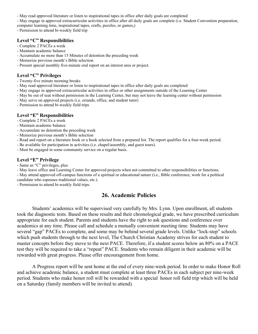- May read approved literature or listen to inspirational tapes in office after daily goals are completed

- May engage in approved extracurricular activities in office after all daily goals are complete (i.e. Student Convention preparation, computer learning time, inspirational tapes, crafts, puzzles, or games,)

- Permission to attend bi-weekly field trip

#### **Level "C" Responsibilities**

- Complete 2 PACEs a week
- Maintain academic balance
- Accumulate no more than 15 Minutes of detention the preceding week
- Memorize previous month's Bible selection
- Present special monthly five-minute oral report on an interest area or project.

#### **Level "C" Privileges**

- Twenty-five minute morning breaks
- May read approved literature or listen to inspirational tapes in office after daily goals are completed
- May engage in approved extracurricular activities in office or other assignments outside of the Learning Center
- May be out of seat without permission in the Learning Center, but may not leave the learning center without permission
- May serve on approved projects (i.e. errands, office, and student tutor)
- Permission to attend bi-weekly field trips

#### **Level "E" Responsibilities**

- Complete 2 PACEs a week
- Maintain academic balance
- Accumulate no detention the preceding week
- Memorize previous month's Bible selection
- Read and report on a literature book or a book selected from a prepared list. The report qualifies for a four-week period.
- Be available for participation in activities (i.e. chapel/assembly, and guest tours).
- Must be engaged in some community service on a regular basis.

#### **Level "E" Privilege**

- Same as "C" privileges, plus

- May leave office and Learning Center for approved projects when not committed to other responsibilities or functions.

- May attend approved off-campus functions of a spiritual or educational nature (i.e., Bible conference, work for a political

candidate who espouses traditional values, etc.).

- Permission to attend bi-weekly field trips.

# **26. Academic Policies**

Students' academics will be supervised very carefully by Mrs. Lynn. Upon enrollment, all students took the diagnostic tests. Based on these results and their chronological grade, we have prescribed curriculum appropriate for each student. Parents and students have the right to ask questions and conference over academics at any time. Please call and schedule a mutually convenient meeting time. Students may have several "gap" PACEs to complete, and some may be behind several grade levels. Unlike "lock-step" schools which push students through to the next level, The Church Christian Academy strives for each student to master concepts before they move to the next PACE. Therefore, if a student scores below an 80% on a PACE test they will be required to take a "repeat" PACE. Students who remain diligent in their academic will be rewarded with great progress. Please offer encouragement from home.

A Progress report will be sent home at the end of every nine-week period. In order to make Honor Roll and achieve academic balance, a student must complete at least three PACEs in each subject per nine-week period. Students who make honor roll will be rewarded with a special honor roll field trip which will be held on a Saturday (family members will be invited to attend).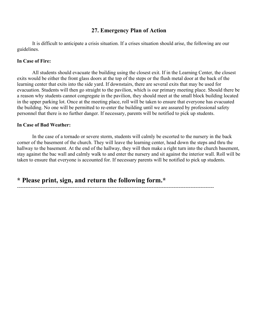# **27. Emergency Plan of Action**

It is difficult to anticipate a crisis situation. If a crises situation should arise, the following are our guidelines.

#### **In Case of Fire:**

All students should evacuate the building using the closest exit. If in the Learning Center, the closest exits would be either the front glass doors at the top of the steps or the flush metal door at the back of the learning center that exits into the side yard. If downstairs, there are several exits that may be used for evacuation. Students will then go straight to the pavilion, which is our primary meeting place. Should there be a reason why students cannot congregate in the pavilion, they should meet at the small block building located in the upper parking lot. Once at the meeting place, roll will be taken to ensure that everyone has evacuated the building. No one will be permitted to re-enter the building until we are assured by professional safety personnel that there is no further danger. If necessary, parents will be notified to pick up students.

#### **In Case of Bad Weather:**

In the case of a tornado or severe storm, students will calmly be escorted to the nursery in the back corner of the basement of the church. They will leave the learning center, head down the steps and thru the hallway to the basement. At the end of the hallway, they will then make a right turn into the church basement, stay against the bac wall and calmly walk to and enter the nursery and sit against the interior wall. Roll will be taken to ensure that everyone is accounted for. If necessary parents will be notified to pick up students.

---------------------------------------------------------------------------------------------------------------------

**\* Please print, sign, and return the following form.\***